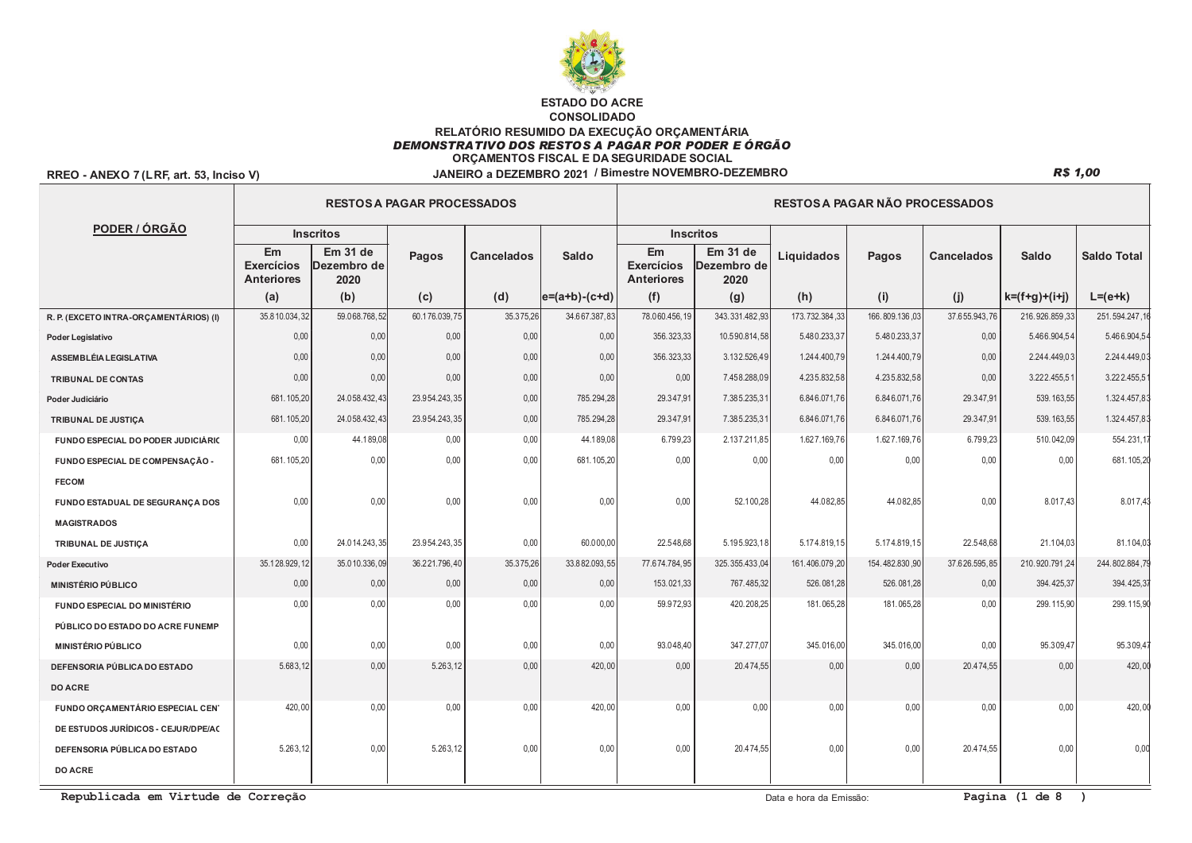

## RREO - ANEXO 7 (LRF, art. 53, Inciso V)

|                                        |                                              |                                 | <b>RESTOS A PAGAR PROCESSADOS</b> |                   |                   | <b>RESTOS A PAGAR NÃO PROCESSADOS</b>        |                                            |                |                |                   |                 |                    |  |  |
|----------------------------------------|----------------------------------------------|---------------------------------|-----------------------------------|-------------------|-------------------|----------------------------------------------|--------------------------------------------|----------------|----------------|-------------------|-----------------|--------------------|--|--|
| PODER / ÓRGÃO                          |                                              | <b>Inscritos</b>                |                                   |                   |                   |                                              | <b>Inscritos</b>                           |                |                |                   |                 |                    |  |  |
|                                        | Em<br><b>Exercícios</b><br><b>Anteriores</b> | Em 31 de<br>Dezembro de<br>2020 | Pagos                             | <b>Cancelados</b> | Saldo             | Em<br><b>Exercícios</b><br><b>Anteriores</b> | Em <sub>31</sub> de<br>Dezembro de<br>2020 | Liquidados     | Pagos          | <b>Cancelados</b> | <b>Saldo</b>    | <b>Saldo Total</b> |  |  |
|                                        | (a)                                          | (b)                             | (c)                               | (d)               | $ e=(a+b)-(c+d) $ | (f)                                          | (g)                                        | (h)            | (i)            | (j)               | $k=(f+g)+(i+j)$ | $L = (e+k)$        |  |  |
| R. P. (EXCETO INTRA-ORÇAMENTÁRIOS) (I) | 35.810.034,32                                | 59.068.768,52                   | 60.176.039,75                     | 35.375,26         | 34.667.387,83     | 78.060.456,19                                | 343.331.482,93                             | 173.732.384,33 | 166.809.136,03 | 37.655.943,76     | 216.926.859,33  | 251.594.247,1      |  |  |
| Poder Legislativo                      | 0.00                                         | 0.00                            | 0,00                              | 0.00              | 0,00              | 356.323.33                                   | 10.590.814.58                              | 5.480.233.37   | 5.480.233.37   | 0.00              | 5.466.904.54    | 5.466.904.5        |  |  |
| <b>ASSEMBLÉIA LEGISLATIVA</b>          | 0.00                                         | 0,00                            | 0,00                              | 0,00              | 0,00              | 356.323,33                                   | 3.132.526,49                               | 1.244.400,79   | 1.244.400,79   | 0,00              | 2.244.449,03    | 2.244.449,03       |  |  |
| TRIBUNAL DE CONTAS                     | 0,00                                         | 0,00                            | 0,00                              | 0,00              | 0,00              | 0,00                                         | 7.458.288,09                               | 4.235.832,58   | 4.235.832,58   | 0,00              | 3.222.455,51    | 3.222.455,5        |  |  |
| Poder Judiciário                       | 681.105,20                                   | 24.058.432,43                   | 23.954.243.35                     | 0.00              | 785.294.28        | 29.347.91                                    | 7.385.235,31                               | 6.846.071,76   | 6.846.071.76   | 29.347.91         | 539, 163.55     | 1.324.457,8        |  |  |
| TRIBUNAL DE JUSTIÇA                    | 681.105,20                                   | 24.058.432,43                   | 23.954.243,35                     | 0,00              | 785.294,28        | 29.347.91                                    | 7.385.235,31                               | 6.846.071,76   | 6.846.071,76   | 29.347,91         | 539.163,55      | 1.324.457,8        |  |  |
| FUNDO ESPECIAL DO PODER JUDICIÁRIO     | 0,00                                         | 44.189,08                       | 0,00                              | 0,00              | 44.189,08         | 6.799,23                                     | 2.137.211,85                               | 1.627.169,76   | 1.627.169,76   | 6.799,23          | 510.042,09      | 554.231,1          |  |  |
| FUNDO ESPECIAL DE COMPENSAÇÃO -        | 681.105,20                                   | 0.00                            | 0,00                              | 0.00              | 681, 105.20       | 0.00                                         | 0,00                                       | 0.00           | 0.00           | 0.00              | 0.00            | 681.105,20         |  |  |
| <b>FECOM</b>                           |                                              |                                 |                                   |                   |                   |                                              |                                            |                |                |                   |                 |                    |  |  |
| FUNDO ESTADUAL DE SEGURANÇA DOS        | 0.00                                         | 0.00                            | 0.00                              | 0.00              | 0.00              | 0.00                                         | 52.100.28                                  | 44.082.85      | 44.082.85      | 0.00              | 8.017.43        | 8.017.43           |  |  |
| <b>MAGISTRADOS</b>                     |                                              |                                 |                                   |                   |                   |                                              |                                            |                |                |                   |                 |                    |  |  |
| TRIBUNAL DE JUSTIÇA                    | 0,00                                         | 24.014.243,35                   | 23.954.243,35                     | 0,00              | 60.000,00         | 22.548.68                                    | 5.195.923,18                               | 5.174.819,15   | 5.174.819,15   | 22.548,68         | 21.104,03       | 81.104,03          |  |  |
| <b>Poder Executivo</b>                 | 35.128.929.12                                | 35.010.336,09                   | 36.221.796,40                     | 35.375,26         | 33.882.093.55     | 77.674.784.95                                | 325.355.433,04                             | 161.406.079,20 | 154.482.830,90 | 37.626.595.85     | 210.920.791.24  | 244, 802, 884, 7   |  |  |
| <b>MINISTÉRIO PÚBLICO</b>              | 0,00                                         | 0,00                            | 0,00                              | 0,00              | 0,00              | 153.021,33                                   | 767.485,32                                 | 526.081,28     | 526.081,28     | 0,00              | 394.425,37      | 394.425,3          |  |  |
| FUNDO ESPECIAL DO MINISTÉRIO           | 0,00                                         | 0,00                            | 0,00                              | 0.00              | 0,00              | 59.972.93                                    | 420.208,25                                 | 181.065,28     | 181.065,28     | 0.00              | 299.115,90      | 299.115,90         |  |  |
| PÚBLICO DO ESTADO DO ACRE FUNEMP       |                                              |                                 |                                   |                   |                   |                                              |                                            |                |                |                   |                 |                    |  |  |
| <b>MINISTÉRIO PÚBLICO</b>              | 0.00                                         | 0,00                            | 0,00                              | 0,00              | 0.00              | 93.048,40                                    | 347.277,07                                 | 345.016,00     | 345.016,00     | 0.00              | 95.309.47       | 95.309,4           |  |  |
| <b>DEFENSORIA PÚBLICA DO ESTADO</b>    | 5.683.12                                     | 0.00                            | 5.263.12                          | 0.00              | 420.00            | 0.00                                         | 20.474.55                                  | 0.00           | 0.00           | 20.474.55         | 0.00            | 420,0              |  |  |
| <b>DO ACRE</b>                         |                                              |                                 |                                   |                   |                   |                                              |                                            |                |                |                   |                 |                    |  |  |
| FUNDO ORÇAMENTÁRIO ESPECIAL CEN'       | 420,00                                       | 0,00                            | 0,00                              | 0,00              | 420,00            | 0,00                                         | 0,00                                       | 0,00           | 0,00           | 0,00              | 0,00            | 420,0              |  |  |
| DE ESTUDOS JURÍDICOS - CEJUR/DPE/AC    |                                              |                                 |                                   |                   |                   |                                              |                                            |                |                |                   |                 |                    |  |  |
| DEFENSORIA PÚBLICA DO ESTADO           | 5.263.12                                     | 0,00                            | 5.263.12                          | 0.00              | 0,00              | 0.00                                         | 20.474.55                                  | 0.00           | 0.00           | 20.474,55         | 0.00            | 0,00               |  |  |
| <b>DO ACRE</b>                         |                                              |                                 |                                   |                   |                   |                                              |                                            |                |                |                   |                 |                    |  |  |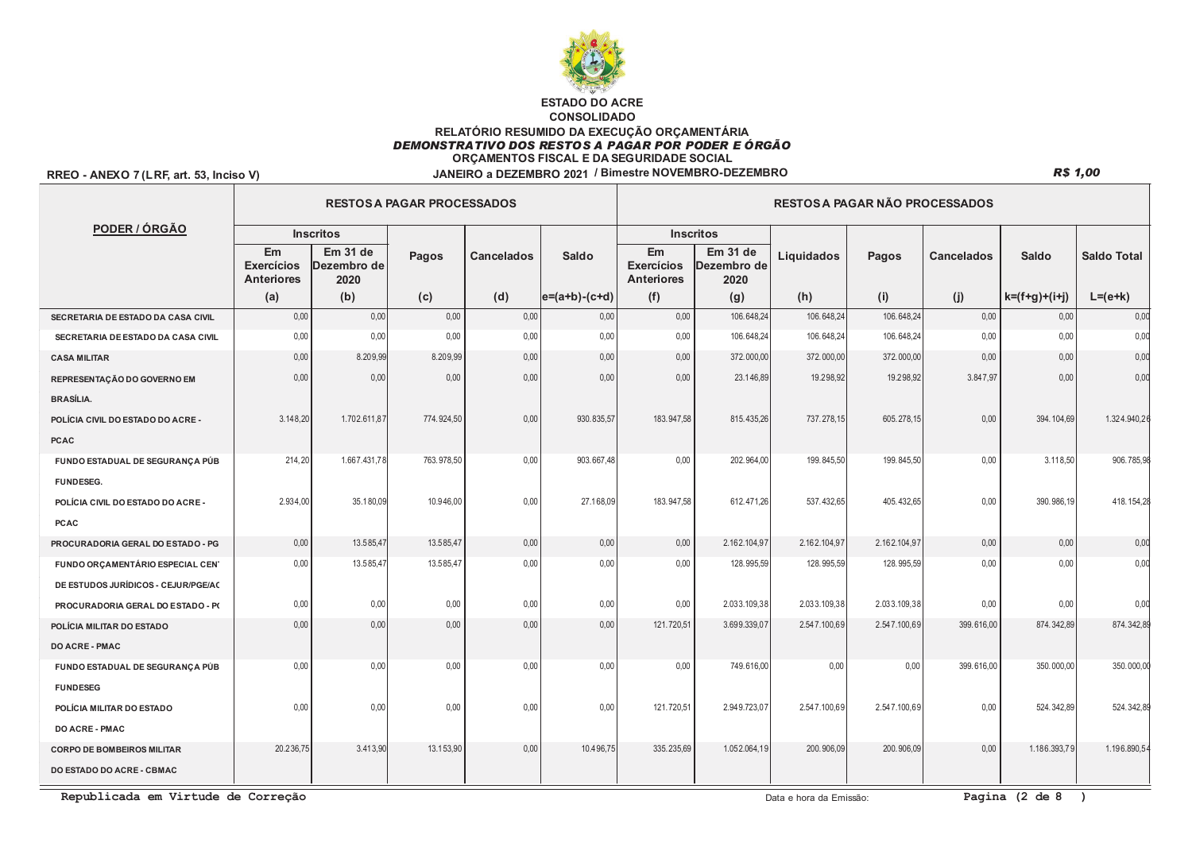

## RREO - ANEXO 7 (LRF, art. 53, Inciso V)

|                                     |                                              |                                 | <b>RESTOS A PAGAR PROCESSADOS</b> |                   |                  | RESTOS A PAGAR NÃO PROCESSADOS               |                                 |              |              |                   |                 |                    |  |  |
|-------------------------------------|----------------------------------------------|---------------------------------|-----------------------------------|-------------------|------------------|----------------------------------------------|---------------------------------|--------------|--------------|-------------------|-----------------|--------------------|--|--|
| PODER / ÓRGÃO                       |                                              | <b>Inscritos</b>                |                                   |                   |                  |                                              | <b>Inscritos</b>                |              |              |                   |                 |                    |  |  |
|                                     | Em<br><b>Exercícios</b><br><b>Anteriores</b> | Em 31 de<br>Dezembro de<br>2020 | Pagos                             | <b>Cancelados</b> | Saldo            | Em<br><b>Exercícios</b><br><b>Anteriores</b> | Em 31 de<br>Dezembro de<br>2020 | Liquidados   | Pagos        | <b>Cancelados</b> | <b>Saldo</b>    | <b>Saldo Total</b> |  |  |
|                                     | (a)                                          | (b)                             | (c)                               | (d)               | $ e=(a+b)-(c+d)$ | (f)                                          | (g)                             | (h)          | (i)          | (j)               | $k=(f+g)+(i+j)$ | $L = (e+k)$        |  |  |
| SECRETARIA DE ESTADO DA CASA CIVIL  | 0,00                                         | 0,00                            | 0,00                              | 0,00              | 0,00             | 0,00                                         | 106.648,24                      | 106.648,24   | 106.648,24   | 0,00              | 0,00            | 0,00               |  |  |
| SECRETARIA DE ESTADO DA CASA CIVIL  | 0,00                                         | 0,00                            | 0.00                              | 0.00              | 0,00             | 0.00                                         | 106.648.24                      | 106.648,24   | 106.648,24   | 0.00              | 0.00            | 0,00               |  |  |
| <b>CASA MILITAR</b>                 | 0,00                                         | 8.209,99                        | 8.209,99                          | 0,00              | 0,00             | 0,00                                         | 372.000,00                      | 372.000,00   | 372.000,00   | 0,00              | 0,00            | 0,00               |  |  |
| REPRESENTAÇÃO DO GOVERNO EM         | 0.00                                         | 0,00                            | 0.00                              | 0.00              | 0,00             | 0.00                                         | 23.146,89                       | 19.298,92    | 19.298,92    | 3.847,97          | 0.00            | 0,00               |  |  |
| <b>BRASÍLIA.</b>                    |                                              |                                 |                                   |                   |                  |                                              |                                 |              |              |                   |                 |                    |  |  |
| POLÍCIA CIVIL DO ESTADO DO ACRE -   | 3.148,20                                     | 1.702.611,87                    | 774.924,50                        | 0,00              | 930.835,57       | 183.947,58                                   | 815.435,26                      | 737.278,15   | 605.278,15   | 0,00              | 394.104,69      | 1.324.940,26       |  |  |
| <b>PCAC</b>                         |                                              |                                 |                                   |                   |                  |                                              |                                 |              |              |                   |                 |                    |  |  |
| FUNDO ESTADUAL DE SEGURANÇA PÚB     | 214,20                                       | 1.667.431,78                    | 763.978,50                        | 0,00              | 903.667,48       | 0,00                                         | 202.964,00                      | 199.845,50   | 199.845,50   | 0,00              | 3.118,50        | 906.785,98         |  |  |
| <b>FUNDESEG.</b>                    |                                              |                                 |                                   |                   |                  |                                              |                                 |              |              |                   |                 |                    |  |  |
| POLÍCIA CIVIL DO ESTADO DO ACRE -   | 2.934,00                                     | 35.180,09                       | 10.946,00                         | 0,00              | 27.168.09        | 183.947.58                                   | 612.471.26                      | 537.432.65   | 405.432.65   | 0,00              | 390.986.19      | 418.154.28         |  |  |
| <b>PCAC</b>                         |                                              |                                 |                                   |                   |                  |                                              |                                 |              |              |                   |                 |                    |  |  |
| PROCURADORIA GERAL DO ESTADO - PG   | 0.00                                         | 13.585,47                       | 13.585.47                         | 0,00              | 0,00             | 0.00                                         | 2.162.104,97                    | 2.162.104,97 | 2.162.104.97 | 0.00              | 0,00            | 0,00               |  |  |
| FUNDO ORÇAMENTÁRIO ESPECIAL CEN'    | 0,00                                         | 13.585,47                       | 13.585,47                         | 0,00              | 0,00             | 0.00                                         | 128.995,59                      | 128.995,59   | 128.995,59   | 0,00              | 0,00            | 0,00               |  |  |
| DE ESTUDOS JURÍDICOS - CEJUR/PGE/AC |                                              |                                 |                                   |                   |                  |                                              |                                 |              |              |                   |                 |                    |  |  |
| PROCURADORIA GERAL DO ESTADO - PO   | 0,00                                         | 0,00                            | 0,00                              | 0,00              | 0,00             | 0.00                                         | 2.033.109.38                    | 2.033.109.38 | 2.033.109.38 | 0.00              | 0,00            | 0,00               |  |  |
| POLÍCIA MILITAR DO ESTADO           | 0,00                                         | 0,00                            | 0,00                              | 0,00              | 0,00             | 121.720,51                                   | 3.699.339,07                    | 2.547.100,69 | 2.547.100,69 | 399.616,00        | 874.342,89      | 874.342,89         |  |  |
| <b>DO ACRE - PMAC</b>               |                                              |                                 |                                   |                   |                  |                                              |                                 |              |              |                   |                 |                    |  |  |
| FUNDO ESTADUAL DE SEGURANÇA PÚB     | 0,00                                         | 0,00                            | 0,00                              | 0,00              | 0,00             | 0.00                                         | 749.616,00                      | 0,00         | 0,00         | 399.616,00        | 350.000,00      | 350.000,00         |  |  |
| <b>FUNDESEG</b>                     |                                              |                                 |                                   |                   |                  |                                              |                                 |              |              |                   |                 |                    |  |  |
| POLÍCIA MILITAR DO ESTADO           | 0,00                                         | 0,00                            | 0,00                              | 0,00              | 0,00             | 121.720,51                                   | 2.949.723,07                    | 2.547.100,69 | 2.547.100,69 | 0,00              | 524.342,89      | 524.342,89         |  |  |
| <b>DO ACRE - PMAC</b>               |                                              |                                 |                                   |                   |                  |                                              |                                 |              |              |                   |                 |                    |  |  |
| <b>CORPO DE BOMBEIROS MILITAR</b>   | 20.236.75                                    | 3.413,90                        | 13.153.90                         | 0.00              | 10.496.75        | 335.235.69                                   | 1.052.064.19                    | 200.906.09   | 200.906.09   | 0,00              | 1.186.393,79    | 1.196.890.5        |  |  |
| DO ESTADO DO ACRE - CBMAC           |                                              |                                 |                                   |                   |                  |                                              |                                 |              |              |                   |                 |                    |  |  |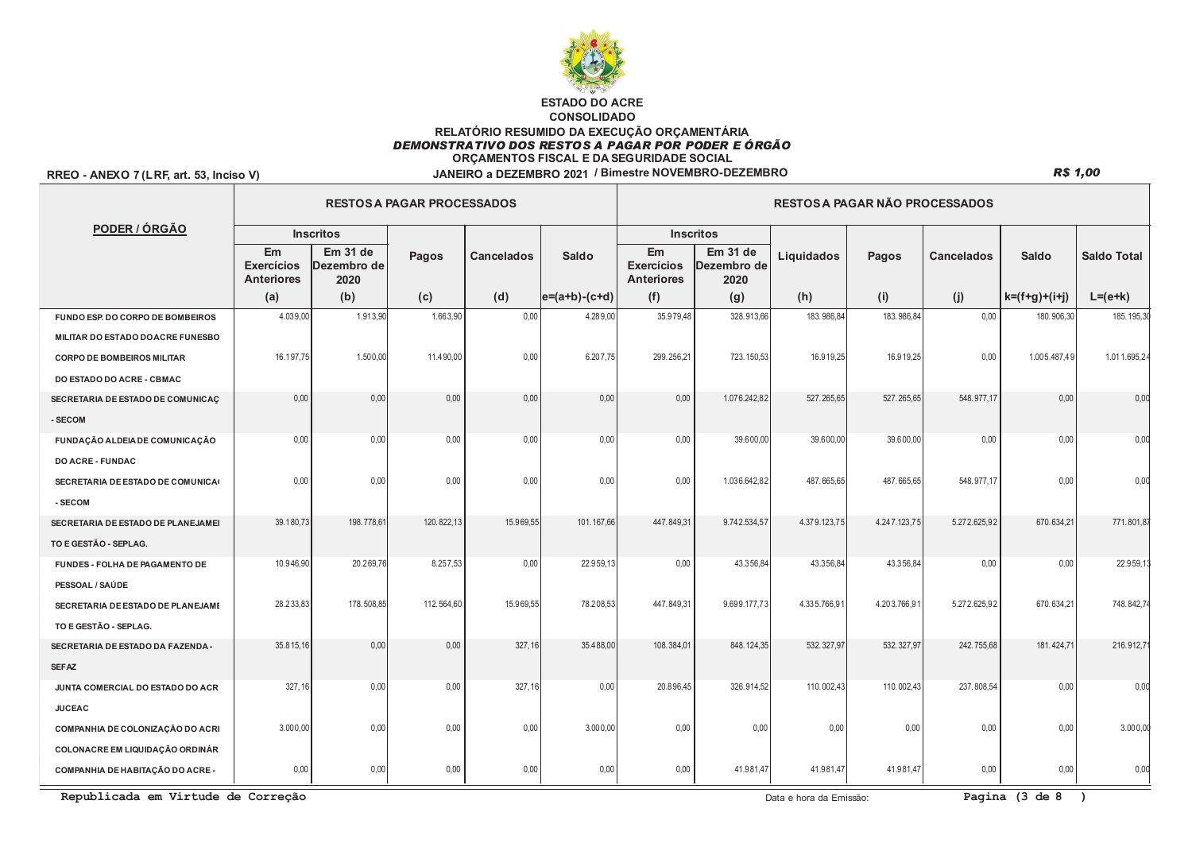

#### RREO - ANEXO 7 (LRF, art. 53, Inciso V)

|                                    |                                              |                                 | <b>RESTOS A PAGAR PROCESSADOS</b> |                   |                   | <b>RESTOS A PAGAR NÃO PROCESSADOS</b>        |                                 |              |              |                   |                 |                    |  |  |
|------------------------------------|----------------------------------------------|---------------------------------|-----------------------------------|-------------------|-------------------|----------------------------------------------|---------------------------------|--------------|--------------|-------------------|-----------------|--------------------|--|--|
| PODER / ÓRGÃO                      |                                              | <b>Inscritos</b>                |                                   |                   |                   |                                              | <b>Inscritos</b>                |              |              |                   |                 |                    |  |  |
|                                    | Em<br><b>Exercícios</b><br><b>Anteriores</b> | Em 31 de<br>Dezembro de<br>2020 | Pagos                             | <b>Cancelados</b> | Saldo             | Em<br><b>Exercícios</b><br><b>Anteriores</b> | Em 31 de<br>Dezembro de<br>2020 | Liquidados   | Pagos        | <b>Cancelados</b> | <b>Saldo</b>    | <b>Saldo Total</b> |  |  |
|                                    | (a)                                          | (b)                             | (c)                               | (d)               | $ e=(a+b)-(c+d) $ | (f)                                          | (g)                             | (h)          | (i)          | (j)               | $k=(f+g)+(i+j)$ | $L=(e+k)$          |  |  |
| FUNDO ESP. DO CORPO DE BOMBEIROS   | 4.039,00                                     | 1.913,90                        | 1.663,90                          | 0,00              | 4.289,00          | 35.979,48                                    | 328.913,66                      | 183.986,84   | 183.986,84   | 0,00              | 180.906,30      | 185.195,30         |  |  |
| MILITAR DO ESTADO DO ACRE FUNESBO  |                                              |                                 |                                   |                   |                   |                                              |                                 |              |              |                   |                 |                    |  |  |
| <b>CORPO DE BOMBEIROS MILITAR</b>  | 16.197,75                                    | 1.500,00                        | 11.490,00                         | 0,00              | 6.207,75          | 299.256,21                                   | 723.150,53                      | 16.919,25    | 16.919,25    | 0,00              | 1.005.487,49    | 1.011.695,24       |  |  |
| DO ESTADO DO ACRE - CBMAC          |                                              |                                 |                                   |                   |                   |                                              |                                 |              |              |                   |                 |                    |  |  |
| SECRETARIA DE ESTADO DE COMUNICAÇ  | 0,00                                         | 0,00                            | 0,00                              | 0.00              | 0,00              | 0.00                                         | 1.076.242,82                    | 527.265,65   | 527.265,65   | 548.977,17        | 0.00            | 0,00               |  |  |
| - SECOM                            |                                              |                                 |                                   |                   |                   |                                              |                                 |              |              |                   |                 |                    |  |  |
| FUNDAÇÃO ALDEIA DE COMUNICAÇÃO     | 0,00                                         | 0,00                            | 0,00                              | 0,00              | 0,00              | 0,00                                         | 39.600,00                       | 39.600,00    | 39.600,00    | 0,00              | 0,00            | 0,00               |  |  |
| DO ACRE - FUNDAC                   |                                              |                                 |                                   |                   |                   |                                              |                                 |              |              |                   |                 |                    |  |  |
| SECRETARIA DE ESTADO DE COMUNICA   | 0,00                                         | 0,00                            | 0,00                              | 0,00              | 0,00              | 0,00                                         | 1.036.642,82                    | 487.665,65   | 487.665,65   | 548.977,17        | 0,00            | 0,00               |  |  |
| - SECOM                            |                                              |                                 |                                   |                   |                   |                                              |                                 |              |              |                   |                 |                    |  |  |
| SECRETARIA DE ESTADO DE PLANEJAMEI | 39.180,73                                    | 198.778,61                      | 120.822,13                        | 15.969,55         | 101.167.66        | 447.849,31                                   | 9.742.534,57                    | 4.379.123,75 | 4.247.123,75 | 5.272.625,92      | 670.634,21      | 771.801,87         |  |  |
| TO E GESTÃO - SEPLAG.              |                                              |                                 |                                   |                   |                   |                                              |                                 |              |              |                   |                 |                    |  |  |
| FUNDES - FOLHA DE PAGAMENTO DE     | 10.946,90                                    | 20.269,76                       | 8.257,53                          | 0,00              | 22.959,13         | 0,00                                         | 43.356,84                       | 43.356,84    | 43.356,84    | 0,00              | 0,00            | 22.959,1           |  |  |
| PESSOAL / SAÚDE                    |                                              |                                 |                                   |                   |                   |                                              |                                 |              |              |                   |                 |                    |  |  |
| SECRETARIA DE ESTADO DE PLANEJAMI  | 28.233,83                                    | 178.508,85                      | 112.564,60                        | 15.969,55         | 78.208,53         | 447.849,31                                   | 9.699.177,73                    | 4.335.766,91 | 4.203.766,91 | 5.272.625,92      | 670.634,21      | 748.842,74         |  |  |
| TO E GESTÃO - SEPLAG.              |                                              |                                 |                                   |                   |                   |                                              |                                 |              |              |                   |                 |                    |  |  |
| SECRETARIA DE ESTADO DA FAZENDA -  | 35.815,16                                    | 0,00                            | 0,00                              | 327, 16           | 35.488,00         | 108.384,01                                   | 848.124,35                      | 532.327,97   | 532.327,97   | 242.755,68        | 181.424,71      | 216.912,7          |  |  |
| <b>SEFAZ</b>                       |                                              |                                 |                                   |                   |                   |                                              |                                 |              |              |                   |                 |                    |  |  |
| JUNTA COMERCIAL DO ESTADO DO ACR   | 327, 16                                      | 0,00                            | 0,00                              | 327, 16           | 0,00              | 20.896,45                                    | 326.914,52                      | 110.002,43   | 110.002,43   | 237.808,54        | 0,00            | 0,00               |  |  |
| <b>JUCEAC</b>                      |                                              |                                 |                                   |                   |                   |                                              |                                 |              |              |                   |                 |                    |  |  |
| COMPANHIA DE COLONIZAÇÃO DO ACRI   | 3.000,00                                     | 0,00                            | 0,00                              | 0,00              | 3.000,00          | 0,00                                         | 0,00                            | 0,00         | 0,00         | 0,00              | 0,00            | 3.000,00           |  |  |
| COLONACRE EM LIQUIDAÇÃO ORDINÁR    |                                              |                                 |                                   |                   |                   |                                              |                                 |              |              |                   |                 |                    |  |  |
| COMPANHIA DE HABITAÇÃO DO ACRE -   | 0,00                                         | 0,00                            | 0,00                              | 0,00              | 0,00              | 0,00                                         | 41.981,47                       | 41.981,47    | 41.981,47    | 0,00              | 0,00            | 0,00               |  |  |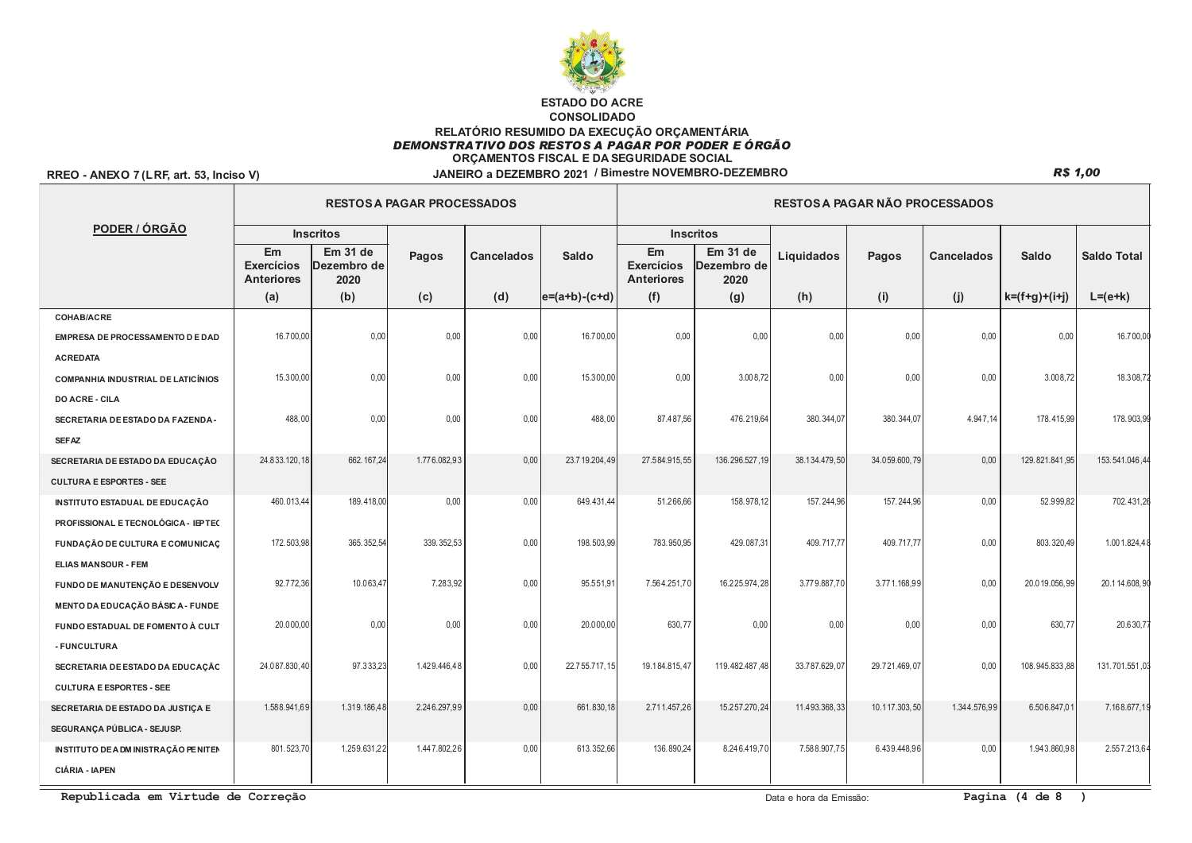

## RREO - ANEXO 7 (LRF, art. 53, Inciso V)

|                                           |                                              |                                 | <b>RESTOS A PAGAR PROCESSADOS</b> |                   |                   | RESTOS A PAGAR NÃO PROCESSADOS               |                                 |               |               |                   |                 |                    |  |
|-------------------------------------------|----------------------------------------------|---------------------------------|-----------------------------------|-------------------|-------------------|----------------------------------------------|---------------------------------|---------------|---------------|-------------------|-----------------|--------------------|--|
| PODER / ÓRGÃO                             |                                              | <b>Inscritos</b>                |                                   |                   |                   |                                              | <b>Inscritos</b>                |               |               |                   |                 |                    |  |
|                                           | Em<br><b>Exercícios</b><br><b>Anteriores</b> | Em 31 de<br>Dezembro de<br>2020 | Pagos                             | <b>Cancelados</b> | Saldo             | Em<br><b>Exercícios</b><br><b>Anteriores</b> | Em 31 de<br>Dezembro de<br>2020 | Liquidados    | Pagos         | <b>Cancelados</b> | <b>Saldo</b>    | <b>Saldo Total</b> |  |
|                                           | (a)                                          | (b)                             | (c)                               | (d)               | $ e=(a+b)-(c+d) $ | (f)                                          | (g)                             | (h)           | (i)           | (j)               | $k=(f+g)+(i+j)$ | $L = (e+k)$        |  |
| <b>COHAB/ACRE</b>                         |                                              |                                 |                                   |                   |                   |                                              |                                 |               |               |                   |                 |                    |  |
| EMPRESA DE PROCESSAMENTO DE DAD           | 16.700,00                                    | 0,00                            | 0.00                              | 0.00              | 16.700,00         | 0.00                                         | 0,00                            | 0,00          | 0,00          | 0,00              | 0.00            | 16.700,00          |  |
| <b>ACREDATA</b>                           |                                              |                                 |                                   |                   |                   |                                              |                                 |               |               |                   |                 |                    |  |
| <b>COMPANHIA INDUSTRIAL DE LATICÍNIOS</b> | 15.300,00                                    | 0,00                            | 0,00                              | 0.00              | 15.300,00         | 0.00                                         | 3.008,72                        | 0,00          | 0,00          | 0,00              | 3.008,72        | 18.308,72          |  |
| <b>DO ACRE - CILA</b>                     |                                              |                                 |                                   |                   |                   |                                              |                                 |               |               |                   |                 |                    |  |
| SECRETARIA DE ESTADO DA FAZENDA-          | 488,00                                       | 0.00                            | 0.00                              | 0.00              | 488.00            | 87.487.56                                    | 476.219.64                      | 380.344.07    | 380.344.07    | 4.947.14          | 178.415.99      | 178.903,99         |  |
| <b>SEFAZ</b>                              |                                              |                                 |                                   |                   |                   |                                              |                                 |               |               |                   |                 |                    |  |
| SECRETARIA DE ESTADO DA EDUCAÇÃO          | 24.833.120,18                                | 662.167,24                      | 1.776.082,93                      | 0.00              | 23.719.204,49     | 27.584.915,55                                | 136.296.527,19                  | 38.134.479,50 | 34.059.600,79 | 0,00              | 129.821.841,95  | 153.541.046,44     |  |
| <b>CULTURA E ESPORTES - SEE</b>           |                                              |                                 |                                   |                   |                   |                                              |                                 |               |               |                   |                 |                    |  |
| INSTITUTO ESTADUAL DE EDUCAÇÃO            | 460.013,44                                   | 189.418,00                      | 0.00                              | 0.00              | 649.431.44        | 51.266.66                                    | 158.978.12                      | 157.244.96    | 157, 244, 96  | 0.00              | 52.999.82       | 702.431,26         |  |
| PROFISSIONAL E TECNOLÓGICA - IEPTEC       |                                              |                                 |                                   |                   |                   |                                              |                                 |               |               |                   |                 |                    |  |
| <b>FUNDAÇÃO DE CULTURA E COMUNICAÇ</b>    | 172.503,98                                   | 365.352,54                      | 339.352,53                        | 0,00              | 198.503,99        | 783.950,95                                   | 429.087,31                      | 409.717,77    | 409.717,77    | 0,00              | 803.320,49      | 1.001.824,48       |  |
| <b>ELIAS MANSOUR - FEM</b>                |                                              |                                 |                                   |                   |                   |                                              |                                 |               |               |                   |                 |                    |  |
| FUNDO DE MANUTENÇÃO E DESENVOLV           | 92.772,36                                    | 10.063,47                       | 7.283,92                          | 0,00              | 95.551,91         | 7.564.251,70                                 | 16.225.974,28                   | 3.779.887,70  | 3.771.168,99  | 0,00              | 20.019.056,99   | 20.1 14.608, 9     |  |
| MENTO DA EDUCAÇÃO BÁSICA - FUNDE          |                                              |                                 |                                   |                   |                   |                                              |                                 |               |               |                   |                 |                    |  |
| FUNDO ESTADUAL DE FOMENTO À CULT          | 20.000,00                                    | 0,00                            | 0,00                              | 0,00              | 20.000,00         | 630,77                                       | 0,00                            | 0,00          | 0,00          | 0,00              | 630,77          | 20.630,7           |  |
| - FUNCULTURA                              |                                              |                                 |                                   |                   |                   |                                              |                                 |               |               |                   |                 |                    |  |
| SECRETARIA DE ESTADO DA EDUCAÇÃO          | 24.087.830,40                                | 97.333,23                       | 1.429.446,48                      | 0.00              | 22.755.717,15     | 19.184.815,47                                | 119.482.487,48                  | 33.787.629,07 | 29.721.469,07 | 0.00              | 108.945.833,88  | 131.701.551,03     |  |
| <b>CULTURA E ESPORTES - SEE</b>           |                                              |                                 |                                   |                   |                   |                                              |                                 |               |               |                   |                 |                    |  |
| SECRETARIA DE ESTADO DA JUSTIÇA E         | 1.588.941.69                                 | 1.319.186,48                    | 2.246.297,99                      | 0.00              | 661.830.18        | 2.711.457.26                                 | 15.257.270.24                   | 11.493.368.33 | 10.117.303.50 | 1.344.576.99      | 6.506.847.01    | 7.168.677.19       |  |
| SEGURANÇA PÚBLICA - SEJUSP.               |                                              |                                 |                                   |                   |                   |                                              |                                 |               |               |                   |                 |                    |  |
| INSTITUTO DE A DM INISTRAÇÃO PENITEN      | 801.523,70                                   | 1.259.631,22                    | 1.447.802,26                      | 0.00              | 613.352,66        | 136.890,24                                   | 8.246.419,70                    | 7.588.907,75  | 6.439.448,96  | 0.00              | 1.943.860,98    | 2.557.213,64       |  |
| <b>CIÁRIA - IAPEN</b>                     |                                              |                                 |                                   |                   |                   |                                              |                                 |               |               |                   |                 |                    |  |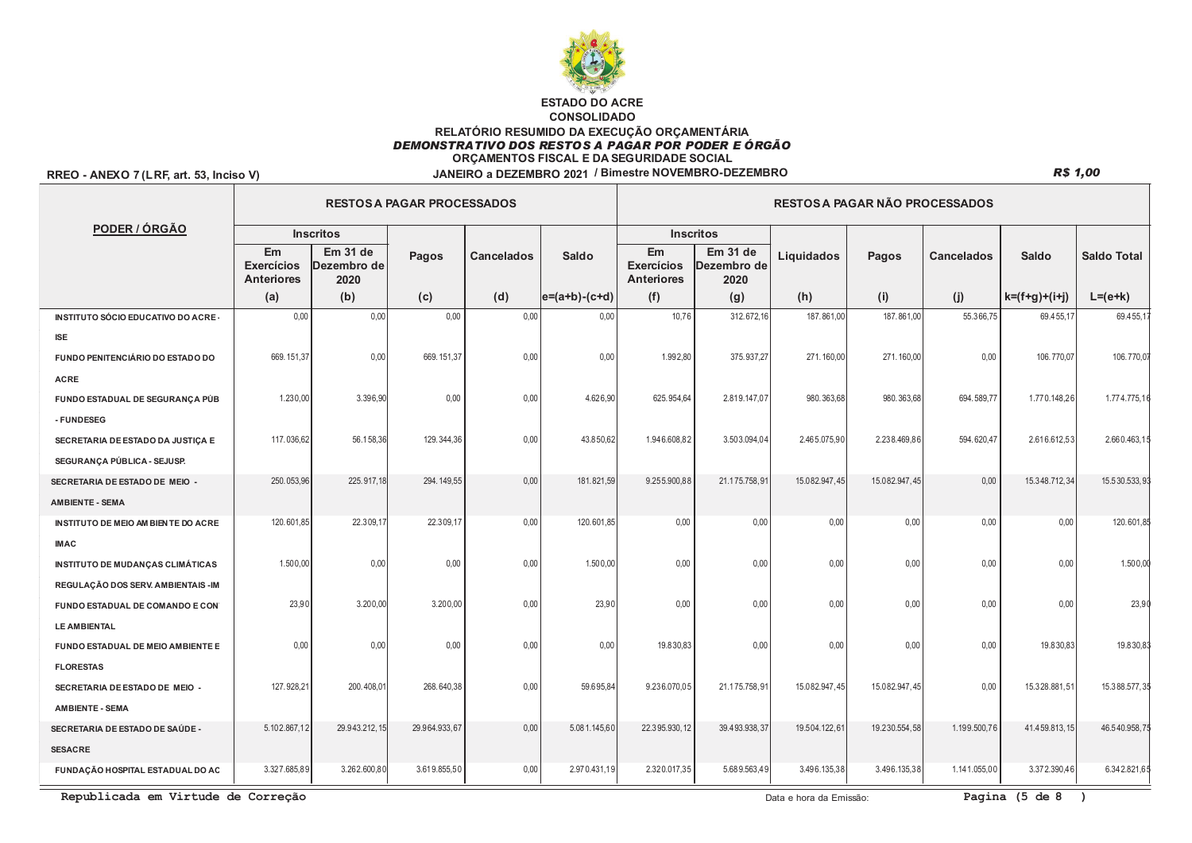

## RREO - ANEXO 7 (LRF, art. 53, Inciso V)

## **R\$ 1,00**

|                                         |                                              |                                 | <b>RESTOS A PAGAR PROCESSADOS</b> |                   |                   | RESTOS A PAGAR NÃO PROCESSADOS               |                                 |               |               |                   |                 |                    |  |  |
|-----------------------------------------|----------------------------------------------|---------------------------------|-----------------------------------|-------------------|-------------------|----------------------------------------------|---------------------------------|---------------|---------------|-------------------|-----------------|--------------------|--|--|
| PODER / ÓRGÃO                           |                                              | <b>Inscritos</b>                |                                   |                   |                   |                                              | <b>Inscritos</b>                |               |               |                   |                 |                    |  |  |
|                                         | Em<br><b>Exercícios</b><br><b>Anteriores</b> | Em 31 de<br>Dezembro de<br>2020 | <b>Pagos</b>                      | <b>Cancelados</b> | Saldo             | Em<br><b>Exercícios</b><br><b>Anteriores</b> | Em 31 de<br>Dezembro de<br>2020 | Liquidados    | Pagos         | <b>Cancelados</b> | <b>Saldo</b>    | <b>Saldo Total</b> |  |  |
|                                         | (a)                                          | (b)                             | (c)                               | (d)               | $ e=(a+b)-(c+d) $ | (f)                                          | (g)                             | (h)           | (i)           | (j)               | $k=(f+g)+(i+j)$ | $L = (e+k)$        |  |  |
| INSTITUTO SÓCIO EDUCATIVO DO ACRE-      | 0,00                                         | 0,00                            | 0,00                              | 0,00              | 0,00              | 10,76                                        | 312.672,16                      | 187.861,00    | 187.861,00    | 55.366,75         | 69.455,17       | 69.455,1           |  |  |
| <b>ISE</b>                              |                                              |                                 |                                   |                   |                   |                                              |                                 |               |               |                   |                 |                    |  |  |
| FUNDO PENITENCIÁRIO DO ESTADO DO        | 669.151,37                                   | 0,00                            | 669.151,37                        | 0,00              | 0,00              | 1.992,80                                     | 375.937,27                      | 271.160,00    | 271.160,00    | 0,00              | 106.770,07      | 106.770,07         |  |  |
| <b>ACRE</b>                             |                                              |                                 |                                   |                   |                   |                                              |                                 |               |               |                   |                 |                    |  |  |
| FUNDO ESTADUAL DE SEGURANÇA PÚB         | 1.230,00                                     | 3.396,90                        | 0,00                              | 0,00              | 4.626,90          | 625.954,64                                   | 2.819.147,07                    | 980.363,68    | 980.363,68    | 694.589,77        | 1.770.148,26    | 1.774.775,1        |  |  |
| - FUNDESEG                              |                                              |                                 |                                   |                   |                   |                                              |                                 |               |               |                   |                 |                    |  |  |
| SECRETARIA DE ESTADO DA JUSTIÇA E       | 117.036,62                                   | 56.158,36                       | 129.344,36                        | 0,00              | 43.850,62         | 1.946.608,82                                 | 3.503.094,04                    | 2.465.075,90  | 2.238.469,86  | 594.620,47        | 2.616.612,53    | 2.660.463,1        |  |  |
| SEGURANÇA PÚBLICA - SEJUSP.             |                                              |                                 |                                   |                   |                   |                                              |                                 |               |               |                   |                 |                    |  |  |
| SECRETARIA DE ESTADO DE MEIO -          | 250.053,96                                   | 225.917,18                      | 294.149,55                        | 0,00              | 181.821.59        | 9.255.900.88                                 | 21.175.758,91                   | 15.082.947,45 | 15.082.947,45 | 0,00              | 15.348.712,34   | 15.530.533,93      |  |  |
| <b>AMBIENTE - SEMA</b>                  |                                              |                                 |                                   |                   |                   |                                              |                                 |               |               |                   |                 |                    |  |  |
| INSTITUTO DE MEIO AM BIEN TE DO ACRE    | 120.601,85                                   | 22.309,17                       | 22.309,17                         | 0,00              | 120.601,85        | 0,00                                         | 0,00                            | 0,00          | 0,00          | 0,00              | 0,00            | 120.601,85         |  |  |
| <b>IMAC</b>                             |                                              |                                 |                                   |                   |                   |                                              |                                 |               |               |                   |                 |                    |  |  |
| <b>INSTITUTO DE MUDANÇAS CLIMÁTICAS</b> | 1.500,00                                     | 0,00                            | 0,00                              | 0,00              | 1.500,00          | 0,00                                         | 0,00                            | 0,00          | 0,00          | 0,00              | 0.00            | 1.500,00           |  |  |
| REGULAÇÃO DOS SERV. AMBIENTAIS - IM     |                                              |                                 |                                   |                   |                   |                                              |                                 |               |               |                   |                 |                    |  |  |
| FUNDO ESTADUAL DE COMANDO E CON         | 23,90                                        | 3.200,00                        | 3.200,00                          | 0,00              | 23,90             | 0.00                                         | 0,00                            | 0,00          | 0,00          | 0,00              | 0,00            | 23,90              |  |  |
| <b>LE AMBIENTAL</b>                     |                                              |                                 |                                   |                   |                   |                                              |                                 |               |               |                   |                 |                    |  |  |
| FUNDO ESTADUAL DE MEIO AMBIENTE E       | 0,00                                         | 0,00                            | 0,00                              | 0,00              | 0,00              | 19.830,83                                    | 0,00                            | 0,00          | 0,00          | 0,00              | 19.830,83       | 19.830,83          |  |  |
| <b>FLORESTAS</b>                        |                                              |                                 |                                   |                   |                   |                                              |                                 |               |               |                   |                 |                    |  |  |
| SECRETARIA DE ESTADO DE MEIO -          | 127.928,21                                   | 200.408,01                      | 268.640,38                        | 0,00              | 59.695,84         | 9.236.070,05                                 | 21.175.758.91                   | 15.082.947,45 | 15.082.947,45 | 0.00              | 15.328.881,51   | 15.388.577,35      |  |  |
| <b>AMBIENTE - SEMA</b>                  |                                              |                                 |                                   |                   |                   |                                              |                                 |               |               |                   |                 |                    |  |  |
| SECRETARIA DE ESTADO DE SAÚDE -         | 5.102.867,12                                 | 29.943.212, 15                  | 29.964.933,67                     | 0,00              | 5.081.145,60      | 22.395.930,12                                | 39.493.938,37                   | 19.504.122,61 | 19.230.554,58 | 1.199.500,76      | 41.459.813,15   | 46.540.958,7       |  |  |
| <b>SESACRE</b>                          |                                              |                                 |                                   |                   |                   |                                              |                                 |               |               |                   |                 |                    |  |  |
| FUNDAÇÃO HOSPITAL ESTADUAL DO AC        | 3.327.685,89                                 | 3.262.600,80                    | 3.619.855,50                      | 0,00              | 2.970.431,19      | 2.320.017,35                                 | 5.689.563,49                    | 3.496.135,38  | 3.496.135,38  | 1.141.055,00      | 3.372.390,46    | 6.342.821,65       |  |  |

Republicada em Virtude de Correção

Data e hora da Emissão: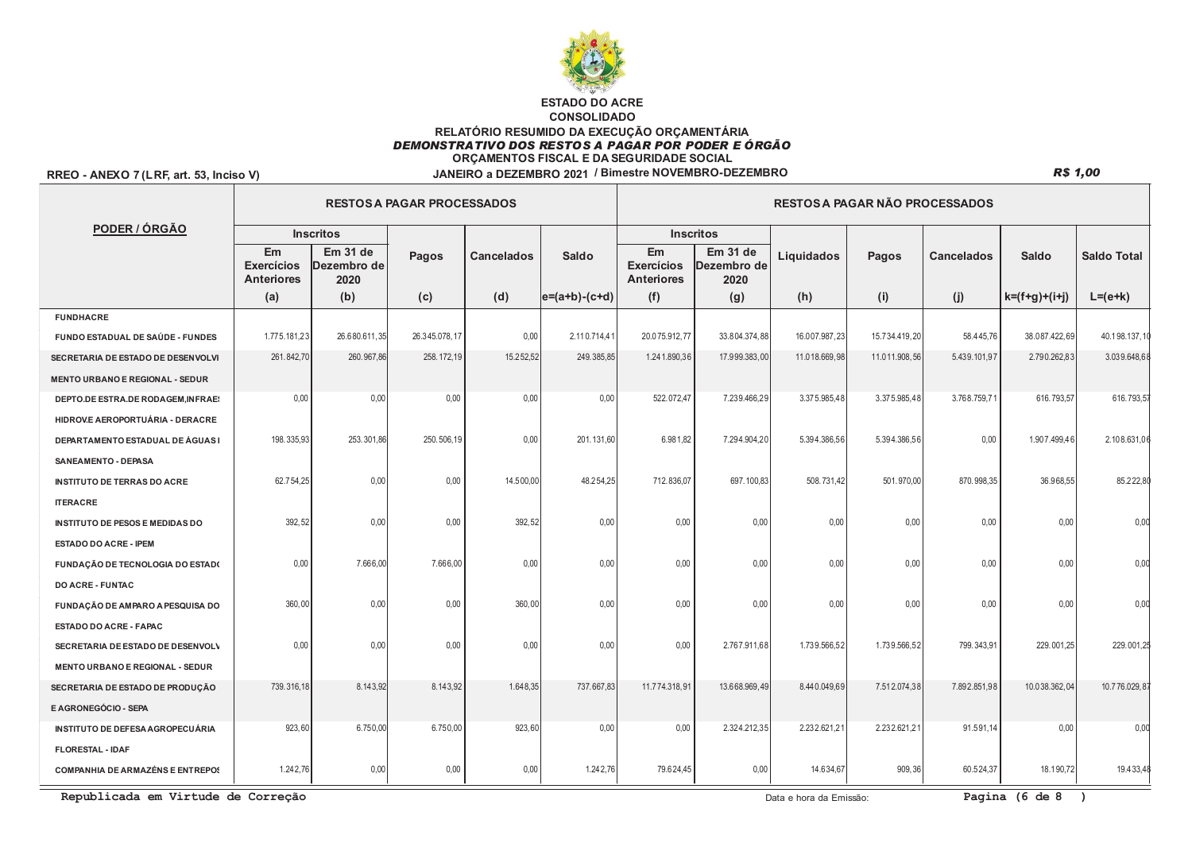

## RREO - ANEXO 7 (LRF, art. 53, Inciso V)

|                                         |                                              |                                 | <b>RESTOS A PAGAR PROCESSADOS</b> |            |                   | RESTOS A PAGAR NÃO PROCESSADOS               |                                 |               |               |                   |                 |                    |  |
|-----------------------------------------|----------------------------------------------|---------------------------------|-----------------------------------|------------|-------------------|----------------------------------------------|---------------------------------|---------------|---------------|-------------------|-----------------|--------------------|--|
| PODER / ÓRGÃO                           |                                              | <b>Inscritos</b>                |                                   |            |                   |                                              | <b>Inscritos</b>                |               |               |                   |                 |                    |  |
|                                         | Em<br><b>Exercícios</b><br><b>Anteriores</b> | Em 31 de<br>Dezembro de<br>2020 | <b>Pagos</b>                      | Cancelados | Saldo             | Em<br><b>Exercícios</b><br><b>Anteriores</b> | Em 31 de<br>Dezembro de<br>2020 | Liquidados    | Pagos         | <b>Cancelados</b> | <b>Saldo</b>    | <b>Saldo Total</b> |  |
|                                         | (a)                                          | (b)                             | (c)                               | (d)        | $ e=(a+b)-(c+d) $ | (f)                                          | (g)                             | (h)           | (i)           | (j)               | $k=(f+g)+(i+j)$ | $L = (e + k)$      |  |
| <b>FUNDHACRE</b>                        |                                              |                                 |                                   |            |                   |                                              |                                 |               |               |                   |                 |                    |  |
| FUNDO ESTADUAL DE SAÚDE - FUNDES        | 1.775.181,23                                 | 26.680.611,35                   | 26.345.078,17                     | 0,00       | 2.110.714,41      | 20.075.912,77                                | 33.804.374,88                   | 16.007.987,23 | 15.734.419,20 | 58.445,76         | 38.087.422,69   | 40.198.137,10      |  |
| SECRETARIA DE ESTADO DE DESENVOLVI      | 261.842,70                                   | 260.967,86                      | 258.172,19                        | 15.252,52  | 249.385,85        | 1.241.890,36                                 | 17.999.383,00                   | 11.018.669,98 | 11.011.908,56 | 5.439.101,97      | 2.790.262,83    | 3.039.648,68       |  |
| <b>MENTO URBANO E REGIONAL - SEDUR</b>  |                                              |                                 |                                   |            |                   |                                              |                                 |               |               |                   |                 |                    |  |
| DEPTO.DE ESTRA.DE RODAGEM, INFRAE:      | 0,00                                         | 0,00                            | 0,00                              | 0,00       | 0,00              | 522.072,47                                   | 7.239.466,29                    | 3.375.985,48  | 3.375.985,48  | 3.768.759,71      | 616.793,57      | 616.793,57         |  |
| HIDROVE AEROPORTUÁRIA - DERACRE         |                                              |                                 |                                   |            |                   |                                              |                                 |               |               |                   |                 |                    |  |
| DEPARTAMENTO ESTADUAL DE ÁGUAS I        | 198.335,93                                   | 253.301,86                      | 250.506,19                        | 0,00       | 201.131,60        | 6.981,82                                     | 7.294.904,20                    | 5.394.386,56  | 5.394.386,56  | 0,00              | 1.907.499,46    | 2.108.631,06       |  |
| SANEAMENTO - DEPASA                     |                                              |                                 |                                   |            |                   |                                              |                                 |               |               |                   |                 |                    |  |
| <b>INSTITUTO DE TERRAS DO ACRE</b>      | 62.754,25                                    | 0,00                            | 0,00                              | 14.500,00  | 48.254,25         | 712.836,07                                   | 697.100,83                      | 508.731,42    | 501.970,00    | 870.998,35        | 36.968,55       | 85.222,80          |  |
| <b>ITERACRE</b>                         |                                              |                                 |                                   |            |                   |                                              |                                 |               |               |                   |                 |                    |  |
| <b>INSTITUTO DE PESOS E MEDIDAS DO</b>  | 392,52                                       | 0,00                            | 0,00                              | 392,52     | 0,00              | 0,00                                         | 0,00                            | 0,00          | 0,00          | 0,00              | 0,00            | 0.00               |  |
| <b>ESTADO DO ACRE - IPEM</b>            |                                              |                                 |                                   |            |                   |                                              |                                 |               |               |                   |                 |                    |  |
| FUNDAÇÃO DE TECNOLOGIA DO ESTADO        | 0,00                                         | 7.666,00                        | 7.666,00                          | 0,00       | 0,00              | 0,00                                         | 0,00                            | 0,00          | 0,00          | 0,00              | 0,00            | 0,00               |  |
| <b>DO ACRE - FUNTAC</b>                 |                                              |                                 |                                   |            |                   |                                              |                                 |               |               |                   |                 |                    |  |
| FUNDAÇÃO DE AMPARO A PESQUISA DO        | 360,00                                       | 0,00                            | 0,00                              | 360,00     | 0,00              | 0,00                                         | 0,00                            | 0,00          | 0,00          | 0,00              | 0,00            | 0.00               |  |
| ESTADO DO ACRE - FAPAC                  |                                              |                                 |                                   |            |                   |                                              |                                 |               |               |                   |                 |                    |  |
| SECRETARIA DE ESTADO DE DESENVOLV       | 0,00                                         | 0,00                            | 0,00                              | 0,00       | 0,00              | 0,00                                         | 2.767.911,68                    | 1.739.566,52  | 1.739.566,52  | 799.343,91        | 229.001,25      | 229.001,25         |  |
| <b>MENTO URBANO E REGIONAL - SEDUR</b>  |                                              |                                 |                                   |            |                   |                                              |                                 |               |               |                   |                 |                    |  |
| SECRETARIA DE ESTADO DE PRODUÇÃO        | 739.316,18                                   | 8.143,92                        | 8.143,92                          | 1.648,35   | 737.667,83        | 11.774.318,91                                | 13.668.969,49                   | 8.440.049,69  | 7.512.074,38  | 7.892.851,98      | 10.038.362,04   | 10.776.029,87      |  |
| E AGRONEGÓCIO - SEPA                    |                                              |                                 |                                   |            |                   |                                              |                                 |               |               |                   |                 |                    |  |
| INSTITUTO DE DEFESA AGROPECUÁRIA        | 923,60                                       | 6.750,00                        | 6.750,00                          | 923,60     | 0,00              | 0.00                                         | 2.324.212,35                    | 2.232.621,21  | 2.232.621,21  | 91.591,14         | 0,00            | 0,00               |  |
| <b>FLORESTAL - IDAF</b>                 |                                              |                                 |                                   |            |                   |                                              |                                 |               |               |                   |                 |                    |  |
| <b>COMPANHIA DE ARMAZÉNS E ENTREPOS</b> | 1.242,76                                     | 0,00                            | 0,00                              | 0,00       | 1.242,76          | 79.624,45                                    | 0,00                            | 14.634,67     | 909, 36       | 60.524,37         | 18.190,72       | 19.433,48          |  |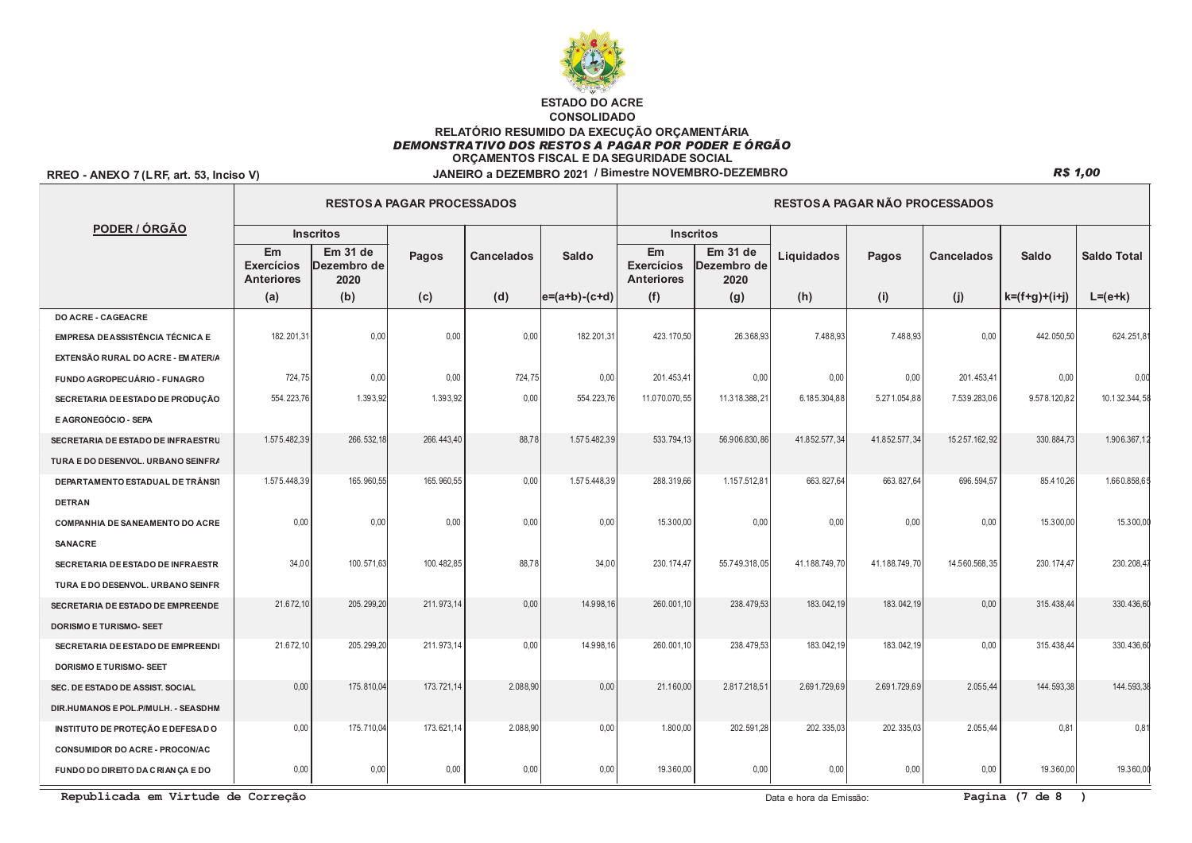

## RREO - ANEXO 7 (LRF, art. 53, Inciso V)

|                                         |                                              |                                 | <b>RESTOS A PAGAR PROCESSADOS</b> |                   |                   | <b>RESTOS A PAGAR NÃO PROCESSADOS</b>        |                                 |               |               |                   |                 |                    |  |  |
|-----------------------------------------|----------------------------------------------|---------------------------------|-----------------------------------|-------------------|-------------------|----------------------------------------------|---------------------------------|---------------|---------------|-------------------|-----------------|--------------------|--|--|
| PODER / ÓRGÃO                           |                                              | <b>Inscritos</b>                |                                   |                   |                   |                                              | <b>Inscritos</b>                |               |               |                   |                 |                    |  |  |
|                                         | Em<br><b>Exercícios</b><br><b>Anteriores</b> | Em 31 de<br>Dezembro de<br>2020 | Pagos                             | <b>Cancelados</b> | Saldo             | Em<br><b>Exercícios</b><br><b>Anteriores</b> | Em 31 de<br>Dezembro de<br>2020 | Liquidados    | Pagos         | <b>Cancelados</b> | Saldo           | <b>Saldo Total</b> |  |  |
|                                         | (a)                                          | (b)                             | (c)                               | (d)               | $ e=(a+b)-(c+d) $ | (f)                                          | (g)                             | (h)           | (i)           | (j)               | $k=(f+g)+(i+j)$ | $L=(e+k)$          |  |  |
| <b>DO ACRE - CAGEACRE</b>               |                                              |                                 |                                   |                   |                   |                                              |                                 |               |               |                   |                 |                    |  |  |
| <b>EMPRESA DE ASSISTÊNCIA TÉCNICA E</b> | 182.201,31                                   | 0,00                            | 0,00                              | 0,00              | 182.201,31        | 423.170,50                                   | 26.368,93                       | 7.488,93      | 7.488,93      | 0,00              | 442.050,50      | 624.251,8          |  |  |
| EXTENSÃO RURAL DO ACRE - EM ATER/A      |                                              |                                 |                                   |                   |                   |                                              |                                 |               |               |                   |                 |                    |  |  |
| FUNDO AGROPECUÁRIO - FUNAGRO            | 724,75                                       | 0,00                            | 0,00                              | 724,75            | 0.00              | 201.453,41                                   | 0,00                            | 0,00          | 0,00          | 201.453.41        | 0,00            | 0.00               |  |  |
| SECRETARIA DE ESTADO DE PRODUÇÃO        | 554.223,76                                   | 1.393,92                        | 1.393,92                          | 0,00              | 554.223,76        | 11.070.070,55                                | 11.318.388,21                   | 6.185.304,88  | 5.271.054,88  | 7.539.283,06      | 9.578.120,82    | 10.132.344,5       |  |  |
| E AGRONEGÓCIO - SEPA                    |                                              |                                 |                                   |                   |                   |                                              |                                 |               |               |                   |                 |                    |  |  |
| SECRETARIA DE ESTADO DE INFRAESTRU      | 1.575.482,39                                 | 266.532,18                      | 266.443,40                        | 88,78             | 1.575.482,39      | 533.794,13                                   | 56.906.830,86                   | 41.852.577,34 | 41.852.577,34 | 15.257.162,92     | 330.884,73      | 1.906.367,1        |  |  |
| TURA E DO DESENVOL. URBANO SEINFRA      |                                              |                                 |                                   |                   |                   |                                              |                                 |               |               |                   |                 |                    |  |  |
| DEPARTAMENTO ESTADUAL DE TRÂNSIT        | 1.575.448,39                                 | 165.960,55                      | 165.960,55                        | 0,00              | 1.575.448,39      | 288.319,66                                   | 1.157.512,81                    | 663.827,64    | 663.827,64    | 696.594,57        | 85.410,26       | 1.660.858,6        |  |  |
| <b>DETRAN</b>                           |                                              |                                 |                                   |                   |                   |                                              |                                 |               |               |                   |                 |                    |  |  |
| <b>COMPANHIA DE SANEAMENTO DO ACRE</b>  | 0,00                                         | 0,00                            | 0,00                              | 0,00              | 0,00              | 15.300,00                                    | 0,00                            | 0,00          | 0,00          | 0.00              | 15.300,00       | 15.300,00          |  |  |
| <b>SANACRE</b>                          |                                              |                                 |                                   |                   |                   |                                              |                                 |               |               |                   |                 |                    |  |  |
| SECRETARIA DE ESTADO DE INFRAESTR       | 34,00                                        | 100.571,63                      | 100.482,85                        | 88,78             | 34,00             | 230.174,47                                   | 55.749.318,05                   | 41.188.749,70 | 41.188.749,70 | 14.560.568,35     | 230.174,47      | 230.208,4          |  |  |
| TURA E DO DESENVOL. URBANO SEINFR       |                                              |                                 |                                   |                   |                   |                                              |                                 |               |               |                   |                 |                    |  |  |
| SECRETARIA DE ESTADO DE EMPREENDE       | 21.672,10                                    | 205.299,20                      | 211.973,14                        | 0,00              | 14.998,16         | 260.001,10                                   | 238.479,53                      | 183.042,19    | 183.042,19    | 0,00              | 315.438,44      | 330.436,60         |  |  |
| <b>DORISMO E TURISMO- SEET</b>          |                                              |                                 |                                   |                   |                   |                                              |                                 |               |               |                   |                 |                    |  |  |
| SECRETARIA DE ESTADO DE EMPREENDI       | 21.672,10                                    | 205.299,20                      | 211.973,14                        | 0,00              | 14.998,16         | 260.001,10                                   | 238.479,53                      | 183.042,19    | 183.042,19    | 0,00              | 315.438,44      | 330.436,60         |  |  |
| DORISMO E TURISMO- SEET                 |                                              |                                 |                                   |                   |                   |                                              |                                 |               |               |                   |                 |                    |  |  |
| SEC. DE ESTADO DE ASSIST. SOCIAL        | 0,00                                         | 175.810,04                      | 173.721,14                        | 2.088,90          | 0,00              | 21.160,00                                    | 2.817.218,51                    | 2.691.729,69  | 2.691.729,69  | 2.055,44          | 144.593,38      | 144.593,3          |  |  |
| DIR.HUMANOS E POL.P/MULH. - SEASDHM     |                                              |                                 |                                   |                   |                   |                                              |                                 |               |               |                   |                 |                    |  |  |
| INSTITUTO DE PROTEÇÃO E DEFESA DO       | 0,00                                         | 175.710,04                      | 173.621,14                        | 2.088,90          | 0,00              | 1.800,00                                     | 202.591,28                      | 202.335,03    | 202.335,03    | 2.055,44          | 0.81            | $0.8^{\circ}$      |  |  |
| <b>CONSUMIDOR DO ACRE - PROCON/AC</b>   |                                              |                                 |                                   |                   |                   |                                              |                                 |               |               |                   |                 |                    |  |  |
| FUNDO DO DIREITO DA CRIANÇA E DO        | 0,00                                         | 0,00                            | 0,00                              | 0,00              | 0,00              | 19.360,00                                    | 0,00                            | 0,00          | 0,00          | 0,00              | 19.360,00       | 19.360,00          |  |  |